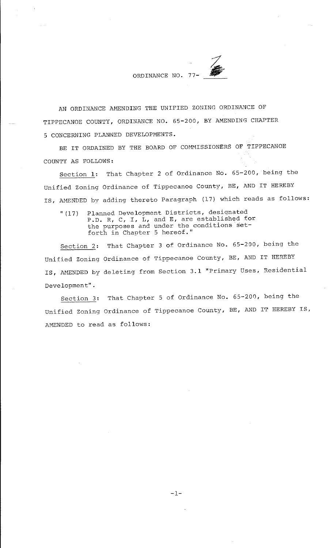ORDINANCE NO. 77-

AN ORDINANCE AMENDING THE UNIFIED ZONING ORDINANCE OF TIPPECANOE COUNTY, ORDINANCE NO. 65-200, BY AMENDING CHAPTER 5 CONCERNING PLANNED DEVELOPMENTS.

BE IT ORDAINED BY THE BOARD OF COMMISSIONERS OF TIPPECANOE COUNTY AS FOLLOWS:

Section 1: That Chapter 2 of Ordinance No. 65-200, being the Unified Zoning Ordinance of Tippecanoe County, BE, AND IT HEREBY IS, AMENDED by adding thereto Paragraph (17) which reads as follows:

"(17) Planned Development Districts, designated Planned Development Discriber, designated<br>P.D. R, C, I, L, and E, are established for the purposes and under the conditions setforth in Chapter 5 hereof."

Section 2: That Chapter 3 of Ordinance No. 65-200, being the Unified Zoning Ordinance of Tippecanoe County, BE, AND IT HEREBY IS, AMENDED by deleting from Section 3.1 "Primary Uses, Residential Development".

Section 3: That Chapter 5 of Ordinance No. 65-200, being the Unified Zoning Ordinance of Tippecanoe County, BE, AND IT HEREBY IS, AMENDED to read as follows: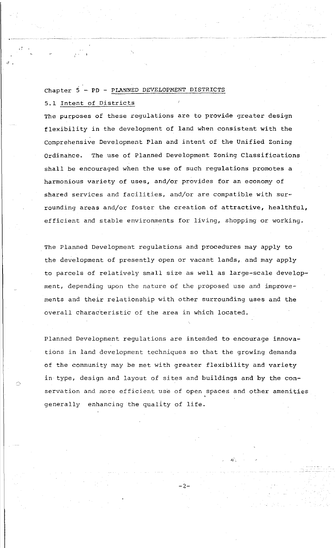# Chapter  $5$  - PD - PLANNED DEVELOPMENT DISTRICTS

5.1 Intent of Districts

*d* •

~)

The purposes of these regulations are to provide greater design flexibility in the development of land when consistent with the comprehensive Development Plan and intent of the Unified Zoning Ordinance. The use of Planned Development Zoning Classifications shall be encouraged when the use of such regulations promotes a harmonious variety of uses, and/or provides for an economy of shared services and facilities, and/or are compatible with surrounding areas and/or foster the creation of attractive, healthful, efficient and stable environments for living, shopping or working.

The Planned Development regulations and procedures may apply to the development of presently open or vacant lands, and may apply to parcels of relatively small size as well as large-scale development, depending upon the nature of the proposed use and improvements and their relationship with other surrounding uses and the overall characteristic of the area in which located.

Planned Development regulations are intended to encourage innovations in land development techniques so that the growing demands of the community may be met with greater flexibility and variety in type, design and layout of sites and buildings and by the con servation and more efficient use of open spaces and other amenities generally enhancing the quality of life.

-2-

.ti"·,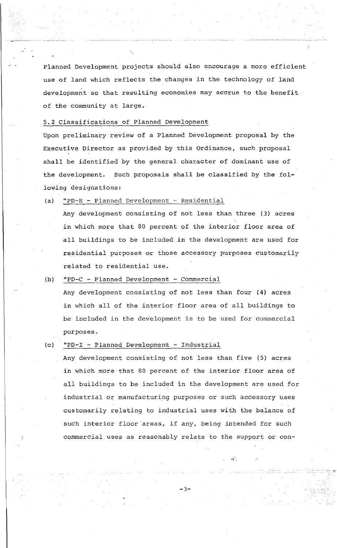Planned Development projects should also encourage a more efficient use of land which reflects the changes in the technology of land development so that resulting economies may accrue to the benefit of the community at large.

5.2 Classifications of Planned Development

Upon preliminary review of a Planned Development proposal by the Executive Director as provided by this Ordinance, such proposal shall be identified by the general character of dominant use of the development. Such proposals shall be classified by the following designations:

 ${a}$  "PD-R - Planned Development - Residential

Any development consisting of not less than three (3) acres in which more that 80 percent of the interior floor area of all buildings to be included in the development are used for residential purposes or those accessory purposes customarily related to residential use.

#### (b) "PD- $C -$  Planned Development - Commercial

Any development consisting of not less than four (4) acres in which all of the interior floor area of all buildings to be included in the development is to be used for commercial purposes.

#### (c) "PD-I - Planned Development - Industrial

Any development consisting of not less than five (5) acres in which more that 80 percent of the interior floor area of all buildings to be included in the development are used for industrial or manufacturing purposes or such accessory uses customari.ly relating to industrial uses with the balance of such interior floor areas, if any, being intended for such commercial uses as reasonably relate to the support or con-

-3-

~r.

 $\pi$  -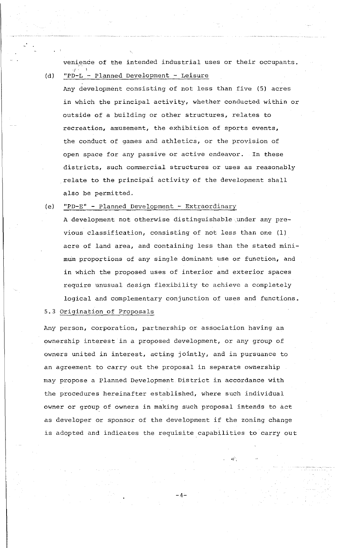venience of the intended industrial uses or their occupants. (d) "PD-L - Planned Development - Leisure

Any development consisting of not less than five (5) acres in which the principal activity, whether conducted within or outside of a building or other structures, relates to recreation, amusement, the exhibition of sports events, the conduct of games and athletics, or the provision of open space for any passive or active endeavor. In these districts, such commercial structures or uses as reasonably relate to the principai activity of the development shall also be permitted.

(e) "PD-E" - Planned Development - Extraordinary

A development not otherwise distinguishable under any previous classification, consisting of not less than one (1) acre of land area, and containing less than the stated minimum proportions of any single dominant use or function, and in which the proposed uses of interior and exterior spaces require unusual design flexibility to achieve a completely logical and complementary conjunction of uses and functions.

## 5.3 Origination of Proposals

Any person, corporation, partnership or association having an ownership interest in a proposed development, or any group of owners united in interest, acting jointly, and in pursuance to an agreement to carry out the proposal in separate ownership may propose a Planned Development District in accordance with the procedures hereinafter established, where such individual owner or group of owners in making such proposal intends to act as developer or sponsor of the development if the zoning change is adopted and indicates the requisite capabilities to carry out

 $-4-$ 

*-11··,*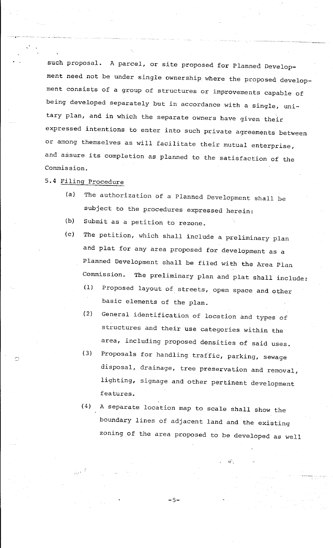such proposal. A parcel, or site proposed for Planned Development need not be under single ownership where the proposed development consists of a group of structures or improvements capable of being developed separately but in accordance with a single, unitary plan, and in which the separate owners have given their expressed intentions to enter into such private agreements between or among themselves as will facilitate their mutual enterprise, and assure its completion as planned to the satisfaction of the Commission.

5.4 Filing Procedure

,\_ ~·<-.

 $\sim$ 

- (a) The authorization of a Planned Development shall be subject to the procedures expressed herein:
- (b) Submit as a petition to rezone.
- (c) The petition, which shall include a preliminary plan and plat for any area proposed for development as a Planned Development shall be filed with the Area Plan Commission. The preliminary plan and plat shall include.:
	- (1) Proposed layout of streets, open space and other basic elements of the plan.
	- (2) General identification of location and types of structures and their use categories within the area, including proposed densities of said uses.
	- (3) Proposals for handling traffic, parking, sewage disposal, drainage, tree preservation and removal, lighting, signage and other pertinent development features.
	- (4) A separate location map to scale shall show the boundary lines of adjacent land and the existing zoning of the area proposed to be developed as well

-5-

*-t!'* -,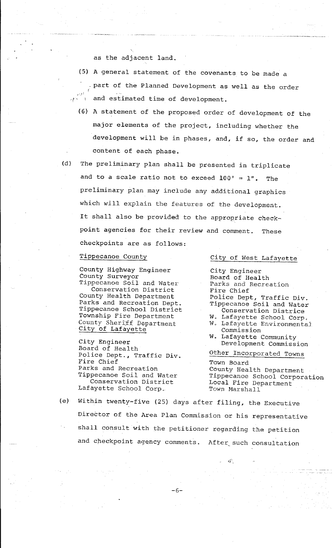as the adjacent land.

- (5) A general statement of the covenants to be made a part of the Planned Development as well as the order  $\mathbb{R}^{\mathbb{N}}$  and estimated time of development.
	- (6) A statement of the proposed order of development of the major elements of the project, including whether the development will be in phases, and, if so, the order and content of each phase.
- 
- (d) The preliminary plan shall be presented in triplicate and to a scale ratio not to exceed  $100' = 1$ ". The preliminary plan may include any additional graphics which will explain the features of the development. It shall also be provided to the appropriate checkpoint agencies for their review and comment. These checkpoints are as follows:

#### Tippecanoe County

County Highway Engineer County Surveyor

Tippecanoe Soil and Water Conservation District County Health Department Parks and Recreation Dept. Tippecanoe School District Township Fire Department County Sheriff Department City of Lafayette

City Engineer Board of Health Police Dept., Traffic Div. Fire Chief Parks and Recreation Tippecanoe Soil and Water Conservation District Lafayette School Corp.

City of West Lafayette

City Engineer Board of Health Parks and Recreation Fire Chief Police Dept, Traffic Div. Tippecanoe Soil and Water Conservation Districe

- W. Lafayette School Corp, W. Lafayette Environmental Commission
- W. Lafayette Community Development Commission
- Other Incorporated Towns

 $\mathbf{a}$ 

Town Board County Health Department Tippecanoe School Corporation Local Fire Department Town Marshall

(e) Within twenty-five (25) days after filing, the Executive Director of the Area Plan Commission or his representative shall consult with the petitioner regarding the petition and checkpoint agency comments. After such consultation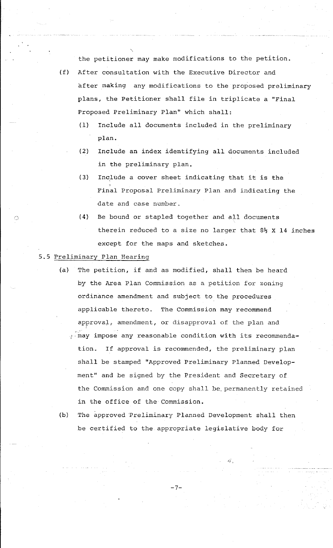the petitioner may make modifications to the petition.

- (f} After consultation with the Executive Director and after making any modifications to the proposed preliminary plans, the Petitioner shall file in triplicate a ''Final Proposed Preliminary Plan" which shall:
	- (1) Include all documents included in the preliminary plan.
	- (2) Include an index identifying all documents included in the preliminary plan.
	- (3) Include a cover sheet indicating that it is the Final Proposal Preliminary Plan and indicating the date and case number.
	- ( 4} Be bound or stapled together and all documents therein reduced to a size no larger that  $8\frac{1}{2}$  X 14 inches except for the maps and sketches.

### 5.5 Preliminary Plan Hearing

 $\bigcap$ 

- (a} The petition, if and as modified, shall then be heard by the Area Plan Commission as a petition for zoning ordinance amendment and subject to the procedures applicable thereto. The Commission may recommend approval, amendment, or disapproval of the plan and may impose any reasonable condition with its recommendation. If approval is recommended, the preliminary plan shall be stamped "Approved Preliminary Planned Development" and be signed by the President and Secretary of the Commission and one copy shall be, permanently retained in the office of the Commission.
- (b} The approved Preliminary Planned Development shall then be certified to the appropriate legislative body for

-7-

~;·;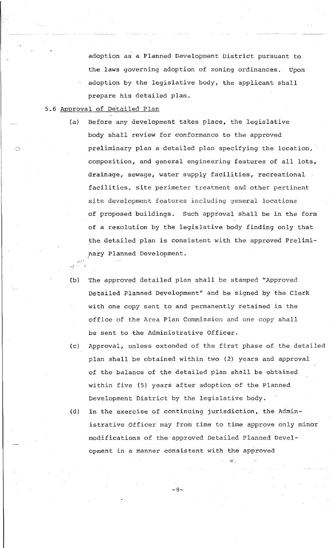adoption as a Planned Development District pursuant to the laws governing adoption of zoning ordinances. Upon adoption by the legislative body, the applicant shall prepare his detailed plan.

### 5.6 Approval of De'tailed Plan

11',,'!  $r<sub>A</sub>$  .  $\sim$ 

 $\bigcirc$ 

- (a) Before any development takes place, the legislative body shall review for conformance to the approved preliminary plan a detailed plan specifying the location, composition, and general engineering features of all lots, drainage, sewage, water supply facilities, recreational facilities, site perimeter treatment and other pertinent site development features including general locations of proposed buildings. Such approval shall be in the form of a resolution by the legislative body finding only that the detailed plan is consistent with the approved Preliminary Planned Development.
- (b) The approved detailed plan shall be stamped "Approved Detailed Planned Development" and be signed by the Clerk with one copy sent to and permanently retained in the office of the Area Plan Commission and one copy shall be sent to the Administrative Officer.
- (c) Approval, unless extended of the first phase of the detailed plan shall be obtained within two (2) years and approval of the balance of the detailed plan shall be obtained within five (5) years after adoption of the Planned Development District by the legislative body.
- (d) In the exercise of continuing jurisdiction, the Administrative Officer may from time to time approve only minor modifications of the approved Detailed Planned Development in a manner consistent with the approved

 $-8-$ 

 $\ddotsc$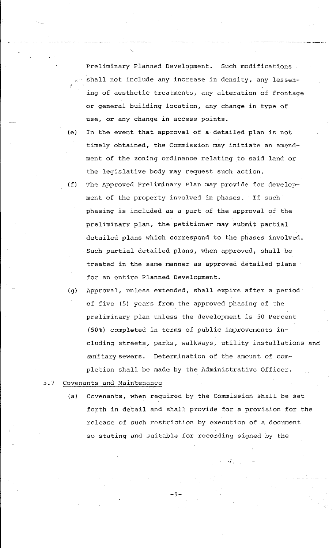Preliminary Planned Development. Such modifications 'shall not include any increase in density, any lessening of aesthetic treatments, any alteration of frontage or general building location, any change in type of use, or any change in access points.

- (e) In the event that approval of a detailed plan is not timely obtained, the Commission may initiate an amendment of the zoning ordinance relating to said land or the legislative body may request such action;
- (f) The Approved Preliminary Plan may provide for development of the property involved in phases. If such phasing is included as a part of the approval of the preliminary plan, the petitioner may submit partial detailed plans which correspond to the phases involved. Such partial detailed plans, when approved, shall be treated in the same manner as approved detailed plans for an entire Planned Development.
- (g) Approval, unless extended, shall expire after a period of five (5) years from the approved phasing of the preliminary plan unless the development is 50 Percent (50%) completed in terms of public improvements ineluding streets, parks, walkways, utility installations and sanitary sewers. Determination of the amount of completion shall be made by the Administrative Officer.

## 5.7 Covenants and Maintenance

(a) Covenants, when required by the Commission shall be set forth in detail and shall provide for a provision for the release of such restriction by execution of a document so stating and suitable for recording signed by the

~i·'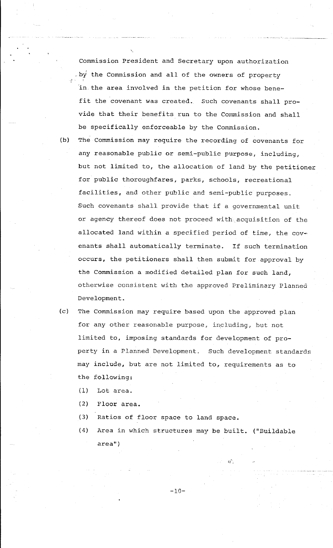Commission President and Secretary upon authorization  $_{\circ}$  by the Commission and all of the owners of property 'in.the area involved in the petition for whose benefit the covenant was created. Such covenants shall provide that their benefits run to the Commission and shall be specifically enforceable by the Commission.

- (b) The Commission may require the recording of covenants for any reasonable public or semi-public purpose, including, but not limited to, the allocation of land by the petitioner for public thoroughfares, parks, schools, recreational facilities, and other public and semi-public purposes. Such covenants shall provide that if a governmental unit or agency thereof does not proceed with acquisition of the allocated land within a specified period of time, the covenants shall automatically terminate. If such termination occurs, the petitioners shall then submit for approval by the Commission a modified detailed plan for such land, otherwise consistent with the approved Preliminary Planned Development.
- (c) The Commission may require based upon the approved plan for any other reasonable purpose, including, but not limited to, imposing standards for development of property in a Planned Development. Such development standards may include, but are not limited to, requirements as to the following:
	- ( 1) Lot area.
	- (2) Floor area.
	- (3) Ratios of floor space to land space.
	- (4) Area in which structures may be built. ("Buildable area")

.i;"',

 $-10-$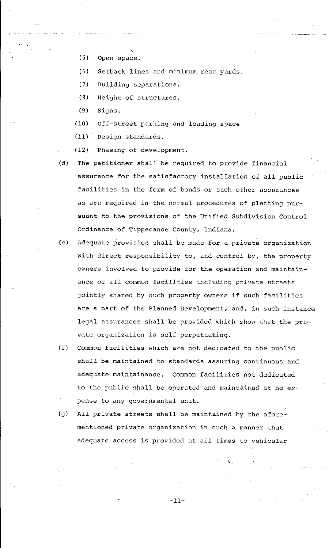- '· (5) Open space.
- (6) Setback lines and minimum rear yards.
- l7} Building separations.
- (8) Height of structures.
- (9) Signs.
- (10) Off-street parking and loading space
- (11) Design standards.
- (12) Phasing of development.
- (d) The petitioner shall be required to provide financial assurance for the satisfactory installation of all public facilities in the form of bonds or such other assurances as are required in the normal procedures of platting pursuant to the provisions of the Unified Subdivision Control Ordinance of Tippecanoe County, Indiana.
- (e) Adequate provision shall be made for a private organization with direct responsibility to, and control by, the property owners involved to provide for the operation and maintainance of all common facilities including private streets jointly shared by such property owners if such facilities are a part of the Planned Development, and, in such instance legal assurances shall be provided which show that the  $pri$ vate organization is self-perpetuating.
- (f) Common facilities which are not dedicated to the public shall be maintained to standards assuring continuous and adequate maintainance. Common facilities not dedicated to the public shall be operated and maintained at no  $ex$ pense to any governmental unit.
- (g) All private streets shall be maintained by the aforementioned private organization in such a manner that adequate access is provided at all times to vehicular

-11-

-ii··,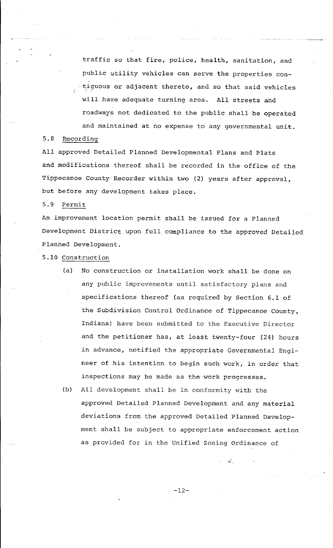traffic so that fire, police, health, sanitation, and public utility vehicles can serve the properties con-  $-$ tiguous or adjacent thereto, and so that said vehicles will have adequate turning area. All streets and roadways not dedicated to the public shall be operated and maintained at no expense to any governmental unit.

#### 5.8 Recording

All approved Detailed Planned Developmental Plans and Plats and modifications thereof shall be recorded in the office of the Tippecanoe County Recorder within two (2) years after approval, but before any development takes place.

5.9 Permit

An improvement location permit shall be issued for a Planned Development District upon full compliance to the approved Detailed Planned Development.

5.10 Construction

(a) No construction or installation work shall be done on any public improvements until satisfactory plans and specifications thereof (as required by Section 6.1 of the Subdivision Control Ordinance of Tippecanoe County, Indiana) have been submitted to the Executive Director and the petitioner has, at least twenty-four (24) hours in advance, notified the appropriate Governmental Engineer of his intention to begin such work, in order that inspections may be made as the work progresses.

(b) All development shall be in conformity with the approved Detailed Planned Development and any material deviations from the approved Detailed Planned Development shall be subject to appropriate enforcement action as provided for in the Unified Zoning Ordinance of

~i·'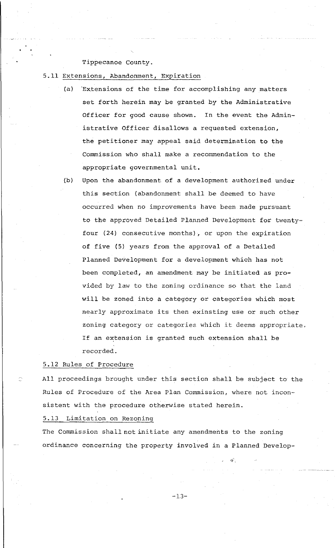### Tippecanoe County.

- 5.11 Extensions, Abandonment, Expiration
	- (a) Extensions of the time for accomplishing any matters set forth herein may be granted by the Administrative Officer for good cause shown. In the event the Administrative Officer disallows a requested extension, the petitioner may appeal said determination to the Commission who shall make a recommendation to the appropriate governmental unit.
	- (b) Upon the abandonment of a development authorized under this section (abandonment shall be deemed to have occurred when no improvements have been made pursuant to the approved Detailed Planned Development for twentyfour (24) consecutive months), or upon the expiration of five (5) years from the approval of a Detailed Planned Development for a development which has not been completed, an amendment may be initiated as provided by law to the zoning ordinance so that the land will be zoned into a category or categories which most nearly approximate its then exinsting use or such other zoning category or categories which it deems appropriate. If an extension is granted such extension shall be recorded.

#### 5.12 Rules of Procedure

All proceedings brought under this section shall be subject to the Rules of Procedure of the Area Plan Commission, where not inconsistent with the procedure otherwise stated herein.

## 5.13 Limitation on Rezoning

The Commission shall not initiate any amendments to the zoning ordinance concerning the property involved in a Planned Develop-

 $45^{\circ}$  .